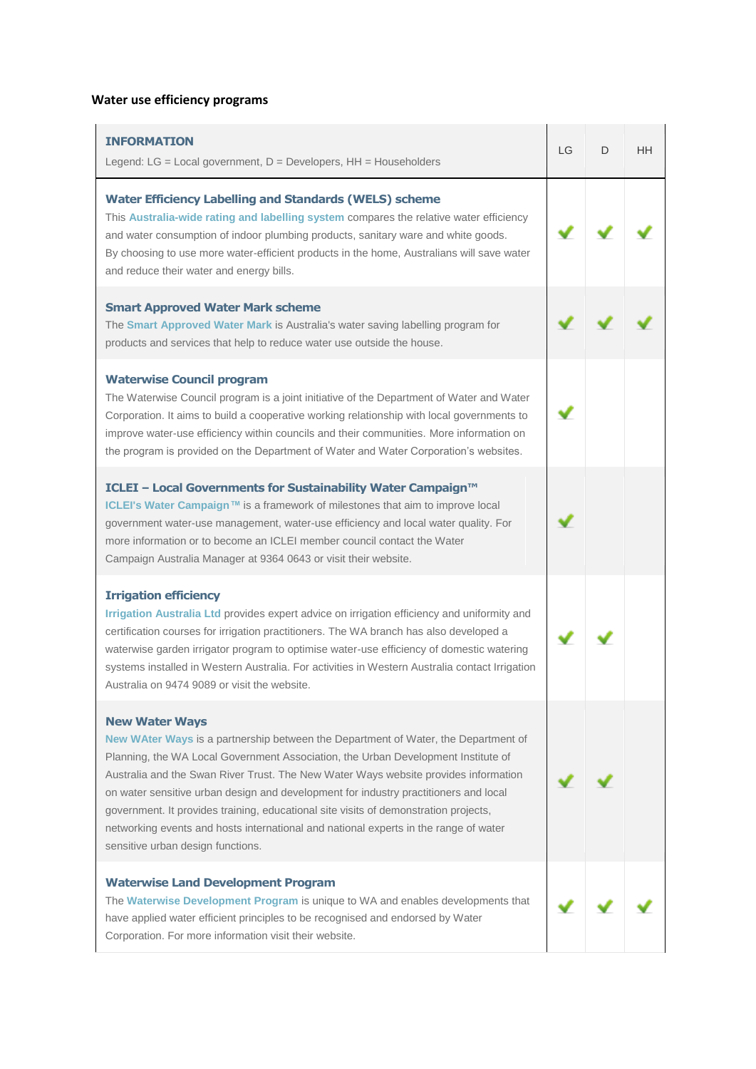## **Water use efficiency programs**

| <b>INFORMATION</b><br>Legend: $LG = Local$ government, $D = Developers$ , $HH = Householders$                                                                                                                                                                                                                                                                                                                                                                                                                                                                                                        | LG | D | HH |
|------------------------------------------------------------------------------------------------------------------------------------------------------------------------------------------------------------------------------------------------------------------------------------------------------------------------------------------------------------------------------------------------------------------------------------------------------------------------------------------------------------------------------------------------------------------------------------------------------|----|---|----|
| <b>Water Efficiency Labelling and Standards (WELS) scheme</b><br>This Australia-wide rating and labelling system compares the relative water efficiency<br>and water consumption of indoor plumbing products, sanitary ware and white goods.<br>By choosing to use more water-efficient products in the home, Australians will save water<br>and reduce their water and energy bills.                                                                                                                                                                                                                |    |   |    |
| <b>Smart Approved Water Mark scheme</b><br>The Smart Approved Water Mark is Australia's water saving labelling program for<br>products and services that help to reduce water use outside the house.                                                                                                                                                                                                                                                                                                                                                                                                 |    |   |    |
| <b>Waterwise Council program</b><br>The Waterwise Council program is a joint initiative of the Department of Water and Water<br>Corporation. It aims to build a cooperative working relationship with local governments to<br>improve water-use efficiency within councils and their communities. More information on<br>the program is provided on the Department of Water and Water Corporation's websites.                                                                                                                                                                                        |    |   |    |
| ICLEI - Local Governments for Sustainability Water Campaign™<br>ICLEI's Water Campaign™ is a framework of milestones that aim to improve local<br>government water-use management, water-use efficiency and local water quality. For<br>more information or to become an ICLEI member council contact the Water<br>Campaign Australia Manager at 9364 0643 or visit their website.                                                                                                                                                                                                                   |    |   |    |
| <b>Irrigation efficiency</b><br>Irrigation Australia Ltd provides expert advice on irrigation efficiency and uniformity and<br>certification courses for irrigation practitioners. The WA branch has also developed a<br>waterwise garden irrigator program to optimise water-use efficiency of domestic watering<br>systems installed in Western Australia. For activities in Western Australia contact Irrigation<br>Australia on 9474 9089 or visit the website.                                                                                                                                  |    |   |    |
| <b>New Water Ways</b><br>New WAter Ways is a partnership between the Department of Water, the Department of<br>Planning, the WA Local Government Association, the Urban Development Institute of<br>Australia and the Swan River Trust. The New Water Ways website provides information<br>on water sensitive urban design and development for industry practitioners and local<br>government. It provides training, educational site visits of demonstration projects,<br>networking events and hosts international and national experts in the range of water<br>sensitive urban design functions. |    |   |    |
| <b>Waterwise Land Development Program</b><br>The Waterwise Development Program is unique to WA and enables developments that<br>have applied water efficient principles to be recognised and endorsed by Water<br>Corporation. For more information visit their website.                                                                                                                                                                                                                                                                                                                             |    |   |    |